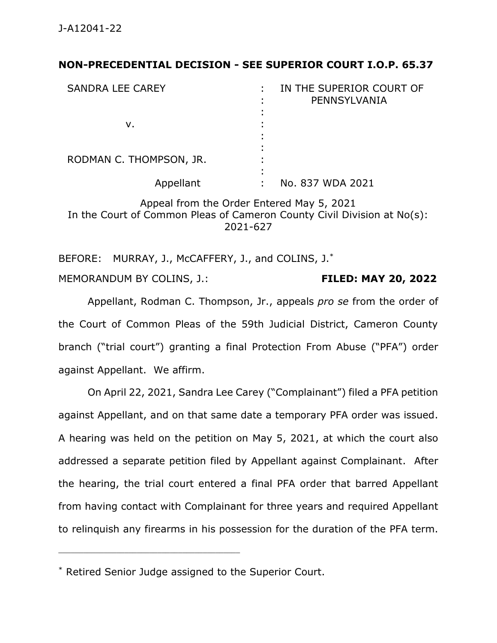## **NON-PRECEDENTIAL DECISION - SEE SUPERIOR COURT I.O.P. 65.37**

| <b>SANDRA LEE CAREY</b> | IN THE SUPERIOR COURT OF<br>PENNSYLVANIA |
|-------------------------|------------------------------------------|
|                         |                                          |
| v.                      |                                          |
|                         |                                          |
| RODMAN C. THOMPSON, JR. |                                          |
| Appellant               | No. 837 WDA 2021                         |

Appeal from the Order Entered May 5, 2021 In the Court of Common Pleas of Cameron County Civil Division at No(s): 2021-627

BEFORE: MURRAY, J., McCAFFERY, J., and COLINS, J.\* MEMORANDUM BY COLINS, J.: **FILED: MAY 20, 2022**

Appellant, Rodman C. Thompson, Jr., appeals *pro se* from the order of the Court of Common Pleas of the 59th Judicial District, Cameron County branch ("trial court") granting a final Protection From Abuse ("PFA") order against Appellant. We affirm.

On April 22, 2021, Sandra Lee Carey ("Complainant") filed a PFA petition against Appellant, and on that same date a temporary PFA order was issued. A hearing was held on the petition on May 5, 2021, at which the court also addressed a separate petition filed by Appellant against Complainant. After the hearing, the trial court entered a final PFA order that barred Appellant from having contact with Complainant for three years and required Appellant to relinquish any firearms in his possession for the duration of the PFA term.

<sup>\*</sup> Retired Senior Judge assigned to the Superior Court.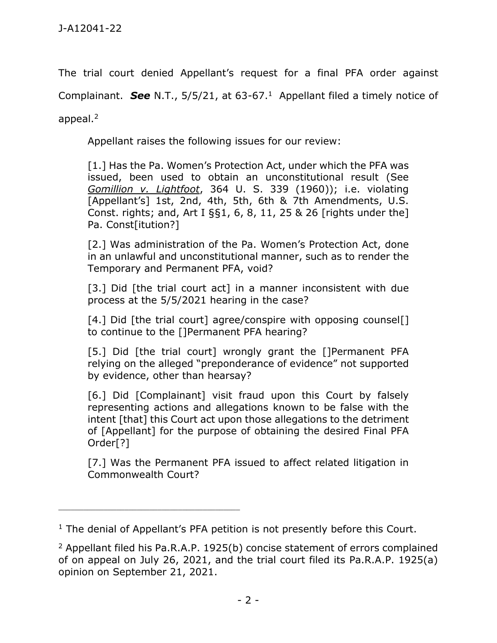The trial court denied Appellant's request for a final PFA order against

Complainant. *See* N.T., 5/5/21, at 63-67.<sup>1</sup> Appellant filed a timely notice of

appeal.<sup>2</sup>

Appellant raises the following issues for our review:

[1.] Has the Pa. Women's Protection Act, under which the PFA was issued, been used to obtain an unconstitutional result (See *Gomillion v. Lightfoot*, 364 U. S. 339 (1960)); i.e. violating [Appellant's] 1st, 2nd, 4th, 5th, 6th & 7th Amendments, U.S. Const. rights; and, Art I §§1, 6, 8, 11, 25 & 26 [rights under the] Pa. Const[itution?]

[2.] Was administration of the Pa. Women's Protection Act, done in an unlawful and unconstitutional manner, such as to render the Temporary and Permanent PFA, void?

[3.] Did [the trial court act] in a manner inconsistent with due process at the 5/5/2021 hearing in the case?

[4.] Did [the trial court] agree/conspire with opposing counsel[] to continue to the []Permanent PFA hearing?

[5.] Did [the trial court] wrongly grant the []Permanent PFA relying on the alleged "preponderance of evidence" not supported by evidence, other than hearsay?

[6.] Did [Complainant] visit fraud upon this Court by falsely representing actions and allegations known to be false with the intent [that] this Court act upon those allegations to the detriment of [Appellant] for the purpose of obtaining the desired Final PFA Order[?]

[7.] Was the Permanent PFA issued to affect related litigation in Commonwealth Court?

<sup>&</sup>lt;sup>1</sup> The denial of Appellant's PFA petition is not presently before this Court.

<sup>&</sup>lt;sup>2</sup> Appellant filed his Pa.R.A.P. 1925(b) concise statement of errors complained of on appeal on July 26, 2021, and the trial court filed its Pa.R.A.P. 1925(a) opinion on September 21, 2021.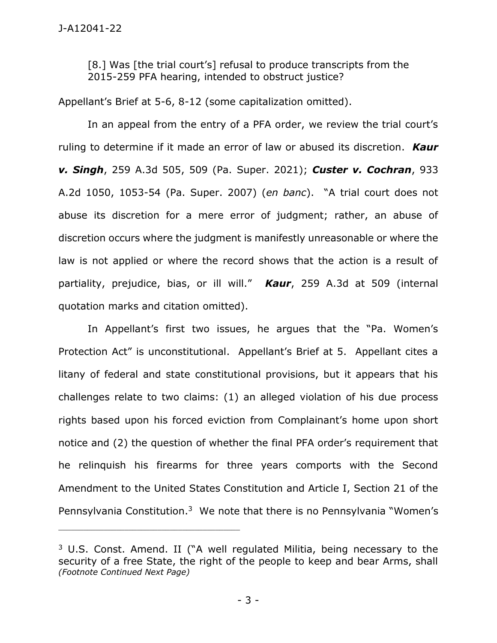[8.] Was [the trial court's] refusal to produce transcripts from the 2015-259 PFA hearing, intended to obstruct justice?

Appellant's Brief at 5-6, 8-12 (some capitalization omitted).

In an appeal from the entry of a PFA order, we review the trial court's ruling to determine if it made an error of law or abused its discretion. *Kaur v. Singh*, 259 A.3d 505, 509 (Pa. Super. 2021); *Custer v. Cochran*, 933 A.2d 1050, 1053-54 (Pa. Super. 2007) (*en banc*). "A trial court does not abuse its discretion for a mere error of judgment; rather, an abuse of discretion occurs where the judgment is manifestly unreasonable or where the law is not applied or where the record shows that the action is a result of partiality, prejudice, bias, or ill will." *Kaur*, 259 A.3d at 509 (internal quotation marks and citation omitted).

In Appellant's first two issues, he argues that the "Pa. Women's Protection Act" is unconstitutional. Appellant's Brief at 5. Appellant cites a litany of federal and state constitutional provisions, but it appears that his challenges relate to two claims: (1) an alleged violation of his due process rights based upon his forced eviction from Complainant's home upon short notice and (2) the question of whether the final PFA order's requirement that he relinquish his firearms for three years comports with the Second Amendment to the United States Constitution and Article I, Section 21 of the Pennsylvania Constitution.<sup>3</sup> We note that there is no Pennsylvania "Women's

<sup>3</sup> U.S. Const. Amend. II ("A well regulated Militia, being necessary to the security of a free State, the right of the people to keep and bear Arms, shall *(Footnote Continued Next Page)*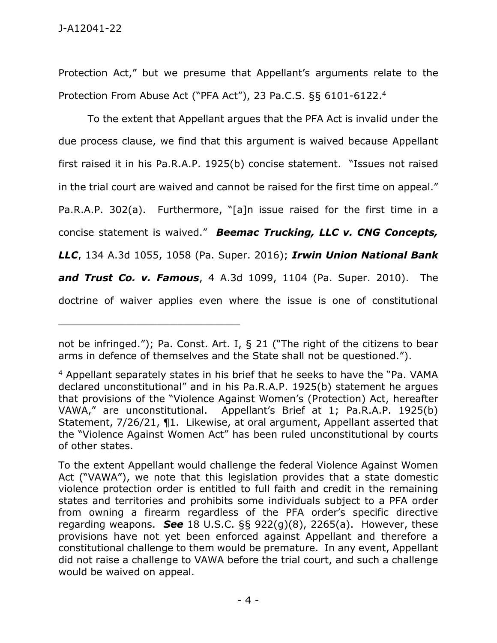Protection Act," but we presume that Appellant's arguments relate to the Protection From Abuse Act ("PFA Act"), 23 Pa.C.S. §§ 6101-6122.<sup>4</sup>

To the extent that Appellant argues that the PFA Act is invalid under the due process clause, we find that this argument is waived because Appellant first raised it in his Pa.R.A.P. 1925(b) concise statement. "Issues not raised in the trial court are waived and cannot be raised for the first time on appeal." Pa.R.A.P. 302(a). Furthermore, "[a]n issue raised for the first time in a concise statement is waived." *Beemac Trucking, LLC v. CNG Concepts, LLC*, 134 A.3d 1055, 1058 (Pa. Super. 2016); *Irwin Union National Bank and Trust Co. v. Famous*, 4 A.3d 1099, 1104 (Pa. Super. 2010). The doctrine of waiver applies even where the issue is one of constitutional

not be infringed."); Pa. Const. Art. I, § 21 ("The right of the citizens to bear arms in defence of themselves and the State shall not be questioned.").

<sup>4</sup> Appellant separately states in his brief that he seeks to have the "Pa. VAMA declared unconstitutional" and in his Pa.R.A.P. 1925(b) statement he argues that provisions of the "Violence Against Women's (Protection) Act, hereafter VAWA," are unconstitutional. Appellant's Brief at 1; Pa.R.A.P. 1925(b) Statement, 7/26/21, ¶1. Likewise, at oral argument, Appellant asserted that the "Violence Against Women Act" has been ruled unconstitutional by courts of other states.

To the extent Appellant would challenge the federal Violence Against Women Act ("VAWA"), we note that this legislation provides that a state domestic violence protection order is entitled to full faith and credit in the remaining states and territories and prohibits some individuals subject to a PFA order from owning a firearm regardless of the PFA order's specific directive regarding weapons. *See* 18 U.S.C. §§ 922(g)(8), 2265(a). However, these provisions have not yet been enforced against Appellant and therefore a constitutional challenge to them would be premature. In any event, Appellant did not raise a challenge to VAWA before the trial court, and such a challenge would be waived on appeal.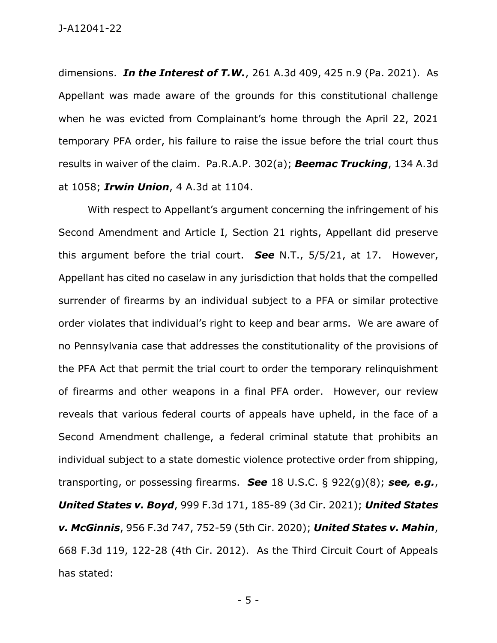J-A12041-22

dimensions. *In the Interest of T.W.*, 261 A.3d 409, 425 n.9 (Pa. 2021). As Appellant was made aware of the grounds for this constitutional challenge when he was evicted from Complainant's home through the April 22, 2021 temporary PFA order, his failure to raise the issue before the trial court thus results in waiver of the claim. Pa.R.A.P. 302(a); *Beemac Trucking*, 134 A.3d at 1058; *Irwin Union*, 4 A.3d at 1104.

With respect to Appellant's argument concerning the infringement of his Second Amendment and Article I, Section 21 rights, Appellant did preserve this argument before the trial court. *See* N.T., 5/5/21, at 17. However, Appellant has cited no caselaw in any jurisdiction that holds that the compelled surrender of firearms by an individual subject to a PFA or similar protective order violates that individual's right to keep and bear arms. We are aware of no Pennsylvania case that addresses the constitutionality of the provisions of the PFA Act that permit the trial court to order the temporary relinquishment of firearms and other weapons in a final PFA order. However, our review reveals that various federal courts of appeals have upheld, in the face of a Second Amendment challenge, a federal criminal statute that prohibits an individual subject to a state domestic violence protective order from shipping, transporting, or possessing firearms. *See* 18 U.S.C. § 922(g)(8); *see, e.g.*, *United States v. Boyd*, 999 F.3d 171, 185-89 (3d Cir. 2021); *United States v. McGinnis*, 956 F.3d 747, 752-59 (5th Cir. 2020); *United States v. Mahin*, 668 F.3d 119, 122-28 (4th Cir. 2012). As the Third Circuit Court of Appeals has stated:

- 5 -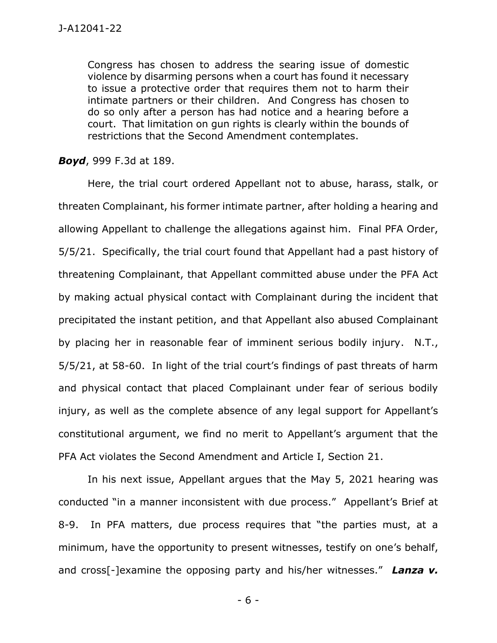Congress has chosen to address the searing issue of domestic violence by disarming persons when a court has found it necessary to issue a protective order that requires them not to harm their intimate partners or their children. And Congress has chosen to do so only after a person has had notice and a hearing before a court. That limitation on gun rights is clearly within the bounds of restrictions that the Second Amendment contemplates.

*Boyd*, 999 F.3d at 189.

Here, the trial court ordered Appellant not to abuse, harass, stalk, or threaten Complainant, his former intimate partner, after holding a hearing and allowing Appellant to challenge the allegations against him. Final PFA Order, 5/5/21. Specifically, the trial court found that Appellant had a past history of threatening Complainant, that Appellant committed abuse under the PFA Act by making actual physical contact with Complainant during the incident that precipitated the instant petition, and that Appellant also abused Complainant by placing her in reasonable fear of imminent serious bodily injury. N.T., 5/5/21, at 58-60. In light of the trial court's findings of past threats of harm and physical contact that placed Complainant under fear of serious bodily injury, as well as the complete absence of any legal support for Appellant's constitutional argument, we find no merit to Appellant's argument that the PFA Act violates the Second Amendment and Article I, Section 21.

In his next issue, Appellant argues that the May 5, 2021 hearing was conducted "in a manner inconsistent with due process." Appellant's Brief at 8-9. In PFA matters, due process requires that "the parties must, at a minimum, have the opportunity to present witnesses, testify on one's behalf, and cross[-]examine the opposing party and his/her witnesses." *Lanza v.* 

- 6 -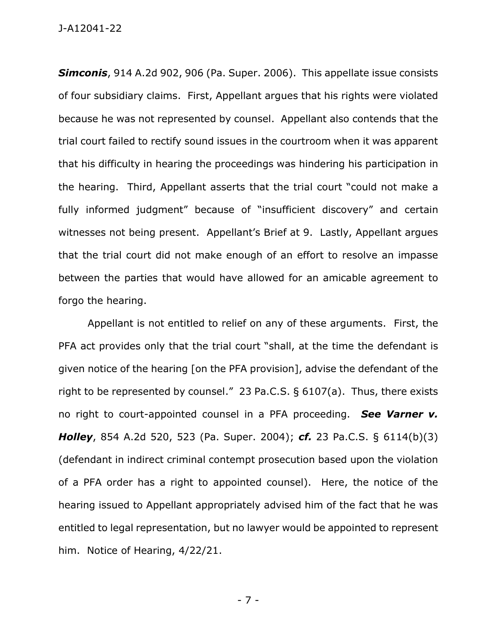J-A12041-22

*Simconis*, 914 A.2d 902, 906 (Pa. Super. 2006). This appellate issue consists of four subsidiary claims. First, Appellant argues that his rights were violated because he was not represented by counsel. Appellant also contends that the trial court failed to rectify sound issues in the courtroom when it was apparent that his difficulty in hearing the proceedings was hindering his participation in the hearing. Third, Appellant asserts that the trial court "could not make a fully informed judgment" because of "insufficient discovery" and certain witnesses not being present. Appellant's Brief at 9. Lastly, Appellant argues that the trial court did not make enough of an effort to resolve an impasse between the parties that would have allowed for an amicable agreement to forgo the hearing.

Appellant is not entitled to relief on any of these arguments. First, the PFA act provides only that the trial court "shall, at the time the defendant is given notice of the hearing [on the PFA provision], advise the defendant of the right to be represented by counsel." 23 Pa.C.S. § 6107(a). Thus, there exists no right to court-appointed counsel in a PFA proceeding. *See Varner v. Holley*, 854 A.2d 520, 523 (Pa. Super. 2004); *cf.* 23 Pa.C.S. § 6114(b)(3) (defendant in indirect criminal contempt prosecution based upon the violation of a PFA order has a right to appointed counsel). Here, the notice of the hearing issued to Appellant appropriately advised him of the fact that he was entitled to legal representation, but no lawyer would be appointed to represent him. Notice of Hearing, 4/22/21.

- 7 -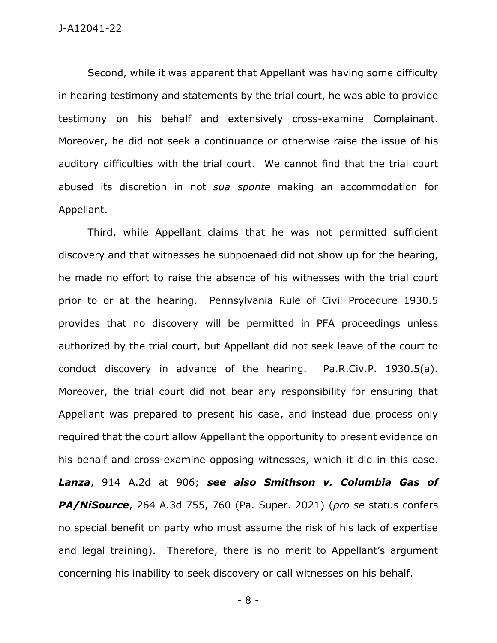Second, while it was apparent that Appellant was having some difficulty in hearing testimony and statements by the trial court, he was able to provide testimony on his behalf and extensively cross-examine Complainant. Moreover, he did not seek a continuance or otherwise raise the issue of his auditory difficulties with the trial court. We cannot find that the trial court abused its discretion in not *sua sponte* making an accommodation for Appellant.

Third, while Appellant claims that he was not permitted sufficient discovery and that witnesses he subpoenaed did not show up for the hearing, he made no effort to raise the absence of his witnesses with the trial court prior to or at the hearing. Pennsylvania Rule of Civil Procedure 1930.5 provides that no discovery will be permitted in PFA proceedings unless authorized by the trial court, but Appellant did not seek leave of the court to conduct discovery in advance of the hearing. Pa.R.Civ.P. 1930.5(a). Moreover, the trial court did not bear any responsibility for ensuring that Appellant was prepared to present his case, and instead due process only required that the court allow Appellant the opportunity to present evidence on his behalf and cross-examine opposing witnesses, which it did in this case. *Lanza*, 914 A.2d at 906; *see also Smithson v. Columbia Gas of PA/NiSource*, 264 A.3d 755, 760 (Pa. Super. 2021) (*pro se* status confers no special benefit on party who must assume the risk of his lack of expertise and legal training). Therefore, there is no merit to Appellant's argument concerning his inability to seek discovery or call witnesses on his behalf.

- 8 -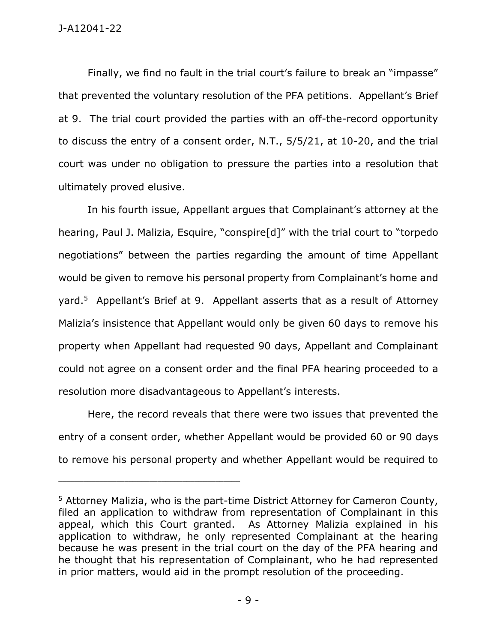Finally, we find no fault in the trial court's failure to break an "impasse" that prevented the voluntary resolution of the PFA petitions. Appellant's Brief at 9. The trial court provided the parties with an off-the-record opportunity to discuss the entry of a consent order, N.T., 5/5/21, at 10-20, and the trial court was under no obligation to pressure the parties into a resolution that ultimately proved elusive.

In his fourth issue, Appellant argues that Complainant's attorney at the hearing, Paul J. Malizia, Esquire, "conspire[d]" with the trial court to "torpedo negotiations" between the parties regarding the amount of time Appellant would be given to remove his personal property from Complainant's home and yard.<sup>5</sup> Appellant's Brief at 9. Appellant asserts that as a result of Attorney Malizia's insistence that Appellant would only be given 60 days to remove his property when Appellant had requested 90 days, Appellant and Complainant could not agree on a consent order and the final PFA hearing proceeded to a resolution more disadvantageous to Appellant's interests.

Here, the record reveals that there were two issues that prevented the entry of a consent order, whether Appellant would be provided 60 or 90 days to remove his personal property and whether Appellant would be required to

<sup>5</sup> Attorney Malizia, who is the part-time District Attorney for Cameron County, filed an application to withdraw from representation of Complainant in this appeal, which this Court granted. As Attorney Malizia explained in his application to withdraw, he only represented Complainant at the hearing because he was present in the trial court on the day of the PFA hearing and he thought that his representation of Complainant, who he had represented in prior matters, would aid in the prompt resolution of the proceeding.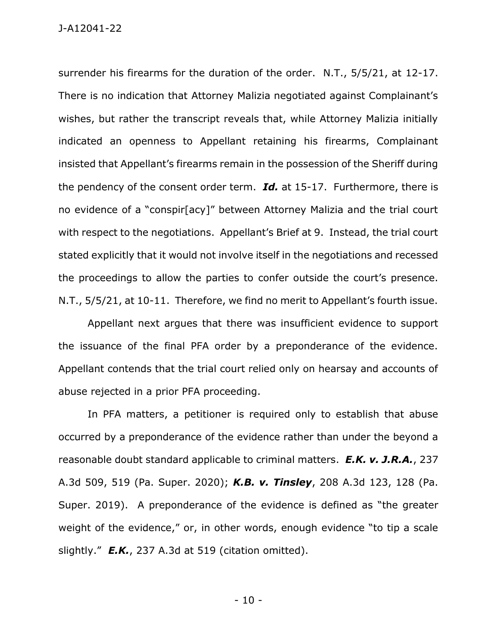surrender his firearms for the duration of the order. N.T., 5/5/21, at 12-17. There is no indication that Attorney Malizia negotiated against Complainant's wishes, but rather the transcript reveals that, while Attorney Malizia initially indicated an openness to Appellant retaining his firearms, Complainant insisted that Appellant's firearms remain in the possession of the Sheriff during the pendency of the consent order term. *Id.* at 15-17. Furthermore, there is no evidence of a "conspir[acy]" between Attorney Malizia and the trial court with respect to the negotiations. Appellant's Brief at 9. Instead, the trial court stated explicitly that it would not involve itself in the negotiations and recessed the proceedings to allow the parties to confer outside the court's presence. N.T., 5/5/21, at 10-11. Therefore, we find no merit to Appellant's fourth issue.

Appellant next argues that there was insufficient evidence to support the issuance of the final PFA order by a preponderance of the evidence. Appellant contends that the trial court relied only on hearsay and accounts of abuse rejected in a prior PFA proceeding.

In PFA matters, a petitioner is required only to establish that abuse occurred by a preponderance of the evidence rather than under the beyond a reasonable doubt standard applicable to criminal matters. *E.K. v. J.R.A.*, 237 A.3d 509, 519 (Pa. Super. 2020); *K.B. v. Tinsley*, 208 A.3d 123, 128 (Pa. Super. 2019). A preponderance of the evidence is defined as "the greater weight of the evidence," or, in other words, enough evidence "to tip a scale slightly." *E.K.*, 237 A.3d at 519 (citation omitted).

- 10 -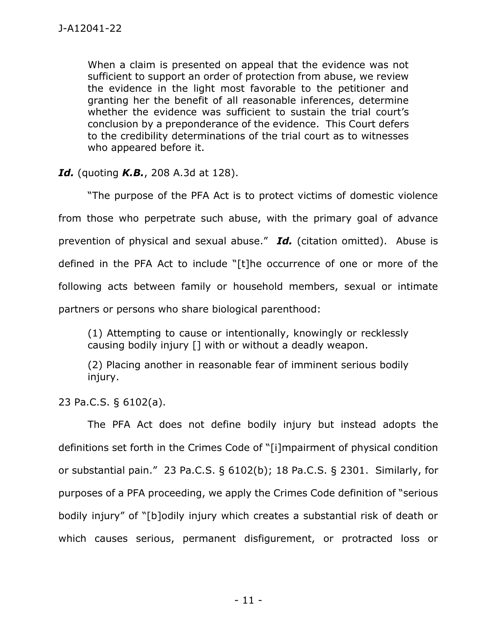When a claim is presented on appeal that the evidence was not sufficient to support an order of protection from abuse, we review the evidence in the light most favorable to the petitioner and granting her the benefit of all reasonable inferences, determine whether the evidence was sufficient to sustain the trial court's conclusion by a preponderance of the evidence. This Court defers to the credibility determinations of the trial court as to witnesses who appeared before it.

*Id.* (quoting *K.B.*, 208 A.3d at 128).

"The purpose of the PFA Act is to protect victims of domestic violence from those who perpetrate such abuse, with the primary goal of advance prevention of physical and sexual abuse." *Id.* (citation omitted). Abuse is defined in the PFA Act to include "[t]he occurrence of one or more of the following acts between family or household members, sexual or intimate partners or persons who share biological parenthood:

(1) Attempting to cause or intentionally, knowingly or recklessly causing bodily injury [] with or without a deadly weapon.

(2) Placing another in reasonable fear of imminent serious bodily injury.

23 Pa.C.S. § 6102(a).

The PFA Act does not define bodily injury but instead adopts the definitions set forth in the Crimes Code of "[i]mpairment of physical condition or substantial pain." 23 Pa.C.S. § 6102(b); 18 Pa.C.S. § 2301. Similarly, for purposes of a PFA proceeding, we apply the Crimes Code definition of "serious bodily injury" of "[b]odily injury which creates a substantial risk of death or which causes serious, permanent disfigurement, or protracted loss or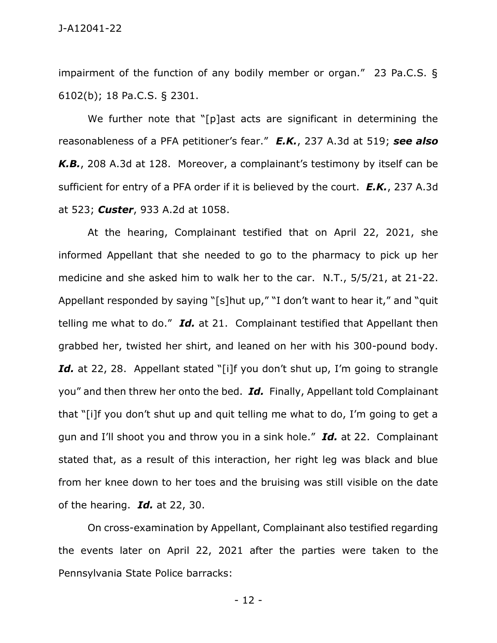impairment of the function of any bodily member or organ." 23 Pa.C.S. § 6102(b); 18 Pa.C.S. § 2301.

We further note that "[p]ast acts are significant in determining the reasonableness of a PFA petitioner's fear." *E.K.*, 237 A.3d at 519; *see also K.B.*, 208 A.3d at 128. Moreover, a complainant's testimony by itself can be sufficient for entry of a PFA order if it is believed by the court. *E.K.*, 237 A.3d at 523; *Custer*, 933 A.2d at 1058.

At the hearing, Complainant testified that on April 22, 2021, she informed Appellant that she needed to go to the pharmacy to pick up her medicine and she asked him to walk her to the car. N.T., 5/5/21, at 21-22. Appellant responded by saying "[s]hut up," "I don't want to hear it," and "quit telling me what to do." *Id.* at 21. Complainant testified that Appellant then grabbed her, twisted her shirt, and leaned on her with his 300-pound body. Id. at 22, 28. Appellant stated "[i]f you don't shut up, I'm going to strangle you" and then threw her onto the bed. *Id.* Finally, Appellant told Complainant that "[i]f you don't shut up and quit telling me what to do, I'm going to get a gun and I'll shoot you and throw you in a sink hole." *Id.* at 22. Complainant stated that, as a result of this interaction, her right leg was black and blue from her knee down to her toes and the bruising was still visible on the date of the hearing. *Id.* at 22, 30.

On cross-examination by Appellant, Complainant also testified regarding the events later on April 22, 2021 after the parties were taken to the Pennsylvania State Police barracks:

- 12 -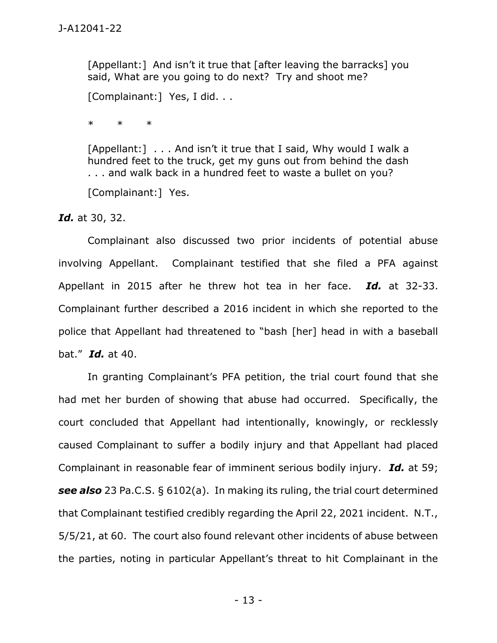[Appellant:] And isn't it true that [after leaving the barracks] you said, What are you going to do next? Try and shoot me?

[Complainant:] Yes, I did. . .

\* \* \*

[Appellant:] . . . And isn't it true that I said, Why would I walk a hundred feet to the truck, get my guns out from behind the dash . . . and walk back in a hundred feet to waste a bullet on you?

[Complainant:] Yes.

*Id.* at 30, 32.

Complainant also discussed two prior incidents of potential abuse involving Appellant. Complainant testified that she filed a PFA against Appellant in 2015 after he threw hot tea in her face. *Id.* at 32-33. Complainant further described a 2016 incident in which she reported to the police that Appellant had threatened to "bash [her] head in with a baseball bat." *Id.* at 40.

In granting Complainant's PFA petition, the trial court found that she had met her burden of showing that abuse had occurred. Specifically, the court concluded that Appellant had intentionally, knowingly, or recklessly caused Complainant to suffer a bodily injury and that Appellant had placed Complainant in reasonable fear of imminent serious bodily injury. *Id.* at 59; *see also* 23 Pa.C.S. § 6102(a). In making its ruling, the trial court determined that Complainant testified credibly regarding the April 22, 2021 incident. N.T., 5/5/21, at 60. The court also found relevant other incidents of abuse between the parties, noting in particular Appellant's threat to hit Complainant in the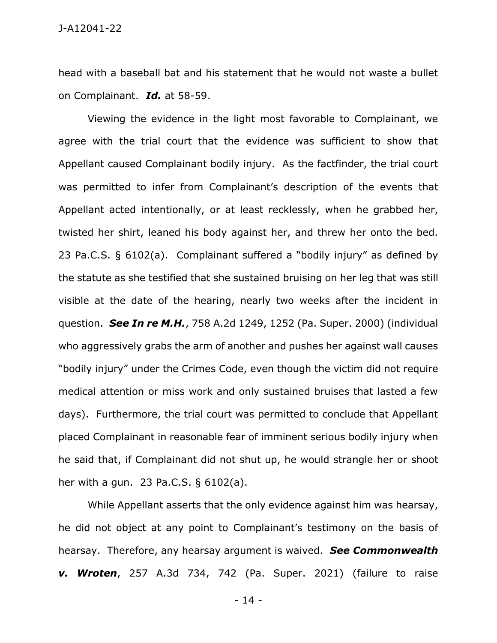head with a baseball bat and his statement that he would not waste a bullet on Complainant. *Id.* at 58-59.

Viewing the evidence in the light most favorable to Complainant, we agree with the trial court that the evidence was sufficient to show that Appellant caused Complainant bodily injury. As the factfinder, the trial court was permitted to infer from Complainant's description of the events that Appellant acted intentionally, or at least recklessly, when he grabbed her, twisted her shirt, leaned his body against her, and threw her onto the bed. 23 Pa.C.S. § 6102(a). Complainant suffered a "bodily injury" as defined by the statute as she testified that she sustained bruising on her leg that was still visible at the date of the hearing, nearly two weeks after the incident in question. *See In re M.H.*, 758 A.2d 1249, 1252 (Pa. Super. 2000) (individual who aggressively grabs the arm of another and pushes her against wall causes "bodily injury" under the Crimes Code, even though the victim did not require medical attention or miss work and only sustained bruises that lasted a few days). Furthermore, the trial court was permitted to conclude that Appellant placed Complainant in reasonable fear of imminent serious bodily injury when he said that, if Complainant did not shut up, he would strangle her or shoot her with a gun. 23 Pa.C.S. § 6102(a).

While Appellant asserts that the only evidence against him was hearsay, he did not object at any point to Complainant's testimony on the basis of hearsay. Therefore, any hearsay argument is waived. *See Commonwealth v. Wroten*, 257 A.3d 734, 742 (Pa. Super. 2021) (failure to raise

- 14 -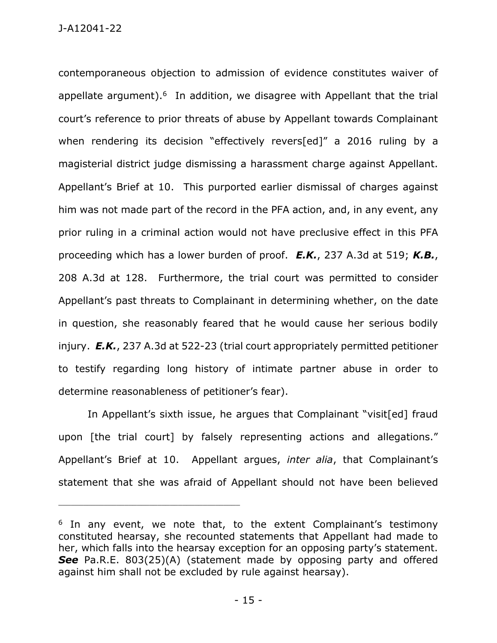contemporaneous objection to admission of evidence constitutes waiver of appellate argument). $6$  In addition, we disagree with Appellant that the trial court's reference to prior threats of abuse by Appellant towards Complainant when rendering its decision "effectively revers[ed]" a 2016 ruling by a magisterial district judge dismissing a harassment charge against Appellant. Appellant's Brief at 10. This purported earlier dismissal of charges against him was not made part of the record in the PFA action, and, in any event, any prior ruling in a criminal action would not have preclusive effect in this PFA proceeding which has a lower burden of proof. *E.K.*, 237 A.3d at 519; *K.B.*, 208 A.3d at 128. Furthermore, the trial court was permitted to consider Appellant's past threats to Complainant in determining whether, on the date in question, she reasonably feared that he would cause her serious bodily injury. *E.K.*, 237 A.3d at 522-23 (trial court appropriately permitted petitioner to testify regarding long history of intimate partner abuse in order to determine reasonableness of petitioner's fear).

In Appellant's sixth issue, he argues that Complainant "visit[ed] fraud upon [the trial court] by falsely representing actions and allegations." Appellant's Brief at 10. Appellant argues, *inter alia*, that Complainant's statement that she was afraid of Appellant should not have been believed

<sup>&</sup>lt;sup>6</sup> In any event, we note that, to the extent Complainant's testimony constituted hearsay, she recounted statements that Appellant had made to her, which falls into the hearsay exception for an opposing party's statement. **See** Pa.R.E. 803(25)(A) (statement made by opposing party and offered against him shall not be excluded by rule against hearsay).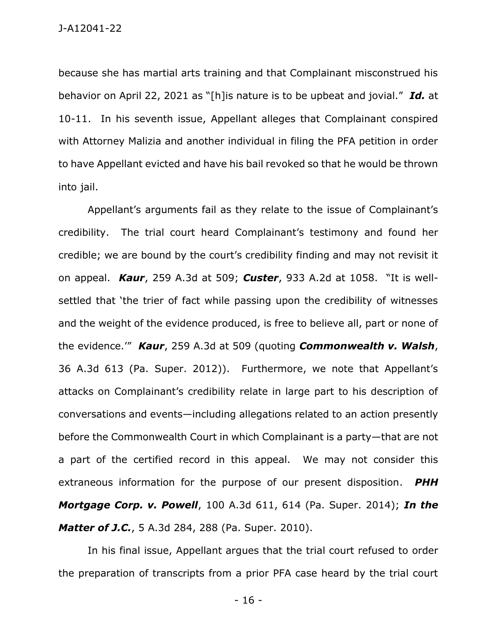because she has martial arts training and that Complainant misconstrued his behavior on April 22, 2021 as "[h]is nature is to be upbeat and jovial." *Id.* at 10-11. In his seventh issue, Appellant alleges that Complainant conspired with Attorney Malizia and another individual in filing the PFA petition in order to have Appellant evicted and have his bail revoked so that he would be thrown into jail.

Appellant's arguments fail as they relate to the issue of Complainant's credibility. The trial court heard Complainant's testimony and found her credible; we are bound by the court's credibility finding and may not revisit it on appeal. *Kaur*, 259 A.3d at 509; *Custer*, 933 A.2d at 1058. "It is wellsettled that 'the trier of fact while passing upon the credibility of witnesses and the weight of the evidence produced, is free to believe all, part or none of the evidence.'" *Kaur*, 259 A.3d at 509 (quoting *Commonwealth v. Walsh*, 36 A.3d 613 (Pa. Super. 2012)). Furthermore, we note that Appellant's attacks on Complainant's credibility relate in large part to his description of conversations and events—including allegations related to an action presently before the Commonwealth Court in which Complainant is a party—that are not a part of the certified record in this appeal. We may not consider this extraneous information for the purpose of our present disposition. *PHH Mortgage Corp. v. Powell*, 100 A.3d 611, 614 (Pa. Super. 2014); *In the Matter of J.C.*, 5 A.3d 284, 288 (Pa. Super. 2010).

In his final issue, Appellant argues that the trial court refused to order the preparation of transcripts from a prior PFA case heard by the trial court

- 16 -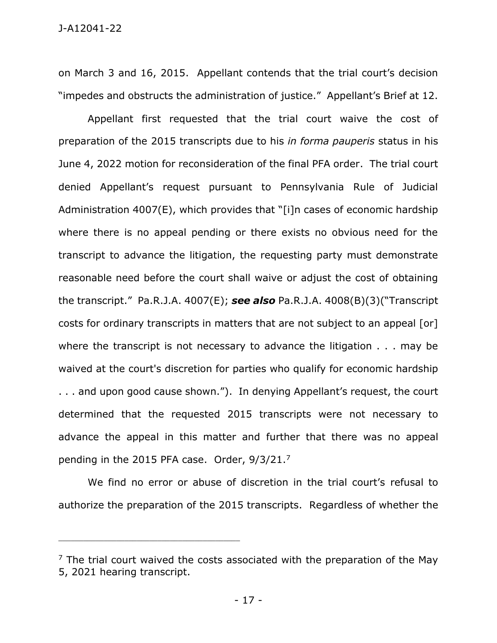on March 3 and 16, 2015. Appellant contends that the trial court's decision "impedes and obstructs the administration of justice." Appellant's Brief at 12.

Appellant first requested that the trial court waive the cost of preparation of the 2015 transcripts due to his *in forma pauperis* status in his June 4, 2022 motion for reconsideration of the final PFA order. The trial court denied Appellant's request pursuant to Pennsylvania Rule of Judicial Administration 4007(E), which provides that "[i]n cases of economic hardship where there is no appeal pending or there exists no obvious need for the transcript to advance the litigation, the requesting party must demonstrate reasonable need before the court shall waive or adjust the cost of obtaining the transcript." Pa.R.J.A. 4007(E); *see also* Pa.R.J.A. 4008(B)(3)("Transcript costs for ordinary transcripts in matters that are not subject to an appeal [or] where the transcript is not necessary to advance the litigation . . . may be waived at the court's discretion for parties who qualify for economic hardship . . . and upon good cause shown."). In denying Appellant's request, the court determined that the requested 2015 transcripts were not necessary to advance the appeal in this matter and further that there was no appeal pending in the 2015 PFA case. Order, 9/3/21.<sup>7</sup>

We find no error or abuse of discretion in the trial court's refusal to authorize the preparation of the 2015 transcripts. Regardless of whether the

 $7$  The trial court waived the costs associated with the preparation of the May 5, 2021 hearing transcript.